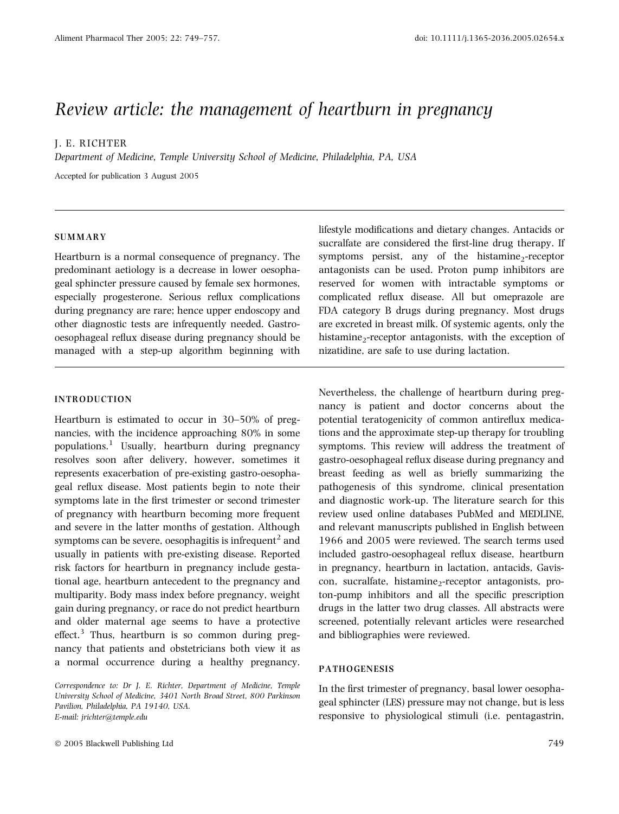# Review article: the management of heartburn in pregnancy

# J. E. RICHTER

Department of Medicine, Temple University School of Medicine, Philadelphia, PA, USA

Accepted for publication 3 August 2005

## SUMMARY

Heartburn is a normal consequence of pregnancy. The predominant aetiology is a decrease in lower oesophageal sphincter pressure caused by female sex hormones, especially progesterone. Serious reflux complications during pregnancy are rare; hence upper endoscopy and other diagnostic tests are infrequently needed. Gastrooesophageal reflux disease during pregnancy should be managed with a step-up algorithm beginning with

#### INTRODUCTION

Heartburn is estimated to occur in 30–50% of pregnancies, with the incidence approaching 80% in some  $p$ opulations.<sup>1</sup> Usually, heartburn during pregnancy resolves soon after delivery, however, sometimes it represents exacerbation of pre-existing gastro-oesophageal reflux disease. Most patients begin to note their symptoms late in the first trimester or second trimester of pregnancy with heartburn becoming more frequent and severe in the latter months of gestation. Although symptoms can be severe, oesophagitis is infrequent<sup>2</sup> and usually in patients with pre-existing disease. Reported risk factors for heartburn in pregnancy include gestational age, heartburn antecedent to the pregnancy and multiparity. Body mass index before pregnancy, weight gain during pregnancy, or race do not predict heartburn and older maternal age seems to have a protective effect.<sup>3</sup> Thus, heartburn is so common during pregnancy that patients and obstetricians both view it as a normal occurrence during a healthy pregnancy. lifestyle modifications and dietary changes. Antacids or sucralfate are considered the first-line drug therapy. If symptoms persist, any of the histamine $2$ -receptor antagonists can be used. Proton pump inhibitors are reserved for women with intractable symptoms or complicated reflux disease. All but omeprazole are FDA category B drugs during pregnancy. Most drugs are excreted in breast milk. Of systemic agents, only the histamine<sub>2</sub>-receptor antagonists, with the exception of nizatidine, are safe to use during lactation.

Nevertheless, the challenge of heartburn during pregnancy is patient and doctor concerns about the potential teratogenicity of common antireflux medications and the approximate step-up therapy for troubling symptoms. This review will address the treatment of gastro-oesophageal reflux disease during pregnancy and breast feeding as well as briefly summarizing the pathogenesis of this syndrome, clinical presentation and diagnostic work-up. The literature search for this review used online databases PubMed and MEDLINE, and relevant manuscripts published in English between 1966 and 2005 were reviewed. The search terms used included gastro-oesophageal reflux disease, heartburn in pregnancy, heartburn in lactation, antacids, Gavis $con$ , sucralfate, histamine<sub>2</sub>-receptor antagonists, proton-pump inhibitors and all the specific prescription drugs in the latter two drug classes. All abstracts were screened, potentially relevant articles were researched and bibliographies were reviewed.

## **PATHOGENESIS**

In the first trimester of pregnancy, basal lower oesophageal sphincter (LES) pressure may not change, but is less responsive to physiological stimuli (i.e. pentagastrin,

Correspondence to: Dr J. E. Richter, Department of Medicine, Temple University School of Medicine, 3401 North Broad Street, 800 Parkinson Pavilion, Philadelphia, PA 19140, USA. E-mail: jrichter@temple.edu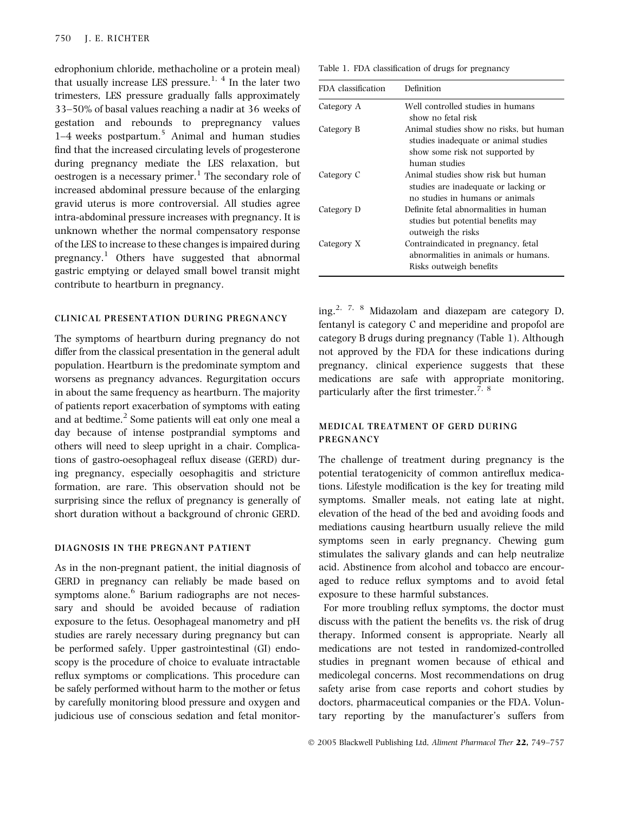edrophonium chloride, methacholine or a protein meal) that usually increase LES pressure.<sup>1, 4</sup> In the later two trimesters, LES pressure gradually falls approximately 33–50% of basal values reaching a nadir at 36 weeks of gestation and rebounds to prepregnancy values 1–4 weeks postpartum.<sup>5</sup> Animal and human studies find that the increased circulating levels of progesterone during pregnancy mediate the LES relaxation, but oestrogen is a necessary primer.<sup>1</sup> The secondary role of increased abdominal pressure because of the enlarging gravid uterus is more controversial. All studies agree intra-abdominal pressure increases with pregnancy. It is unknown whether the normal compensatory response of the LES to increase to these changes is impaired during pregnancy.<sup>1</sup> Others have suggested that abnormal gastric emptying or delayed small bowel transit might contribute to heartburn in pregnancy.

## CLINICAL PRESENTATION DURING PREGNANCY

The symptoms of heartburn during pregnancy do not differ from the classical presentation in the general adult population. Heartburn is the predominate symptom and worsens as pregnancy advances. Regurgitation occurs in about the same frequency as heartburn. The majority of patients report exacerbation of symptoms with eating and at bedtime.<sup>2</sup> Some patients will eat only one meal a day because of intense postprandial symptoms and others will need to sleep upright in a chair. Complications of gastro-oesophageal reflux disease (GERD) during pregnancy, especially oesophagitis and stricture formation, are rare. This observation should not be surprising since the reflux of pregnancy is generally of short duration without a background of chronic GERD.

#### DIAGNOSIS IN THE PREGNANT PATIENT

As in the non-pregnant patient, the initial diagnosis of GERD in pregnancy can reliably be made based on symptoms alone.<sup>6</sup> Barium radiographs are not necessary and should be avoided because of radiation exposure to the fetus. Oesophageal manometry and pH studies are rarely necessary during pregnancy but can be performed safely. Upper gastrointestinal (GI) endoscopy is the procedure of choice to evaluate intractable reflux symptoms or complications. This procedure can be safely performed without harm to the mother or fetus by carefully monitoring blood pressure and oxygen and judicious use of conscious sedation and fetal monitor-

Table 1. FDA classification of drugs for pregnancy

| FDA classification | Definition                                                                                                                          |  |  |
|--------------------|-------------------------------------------------------------------------------------------------------------------------------------|--|--|
| Category A         | Well controlled studies in humans<br>show no fetal risk                                                                             |  |  |
| Category B         | Animal studies show no risks, but human<br>studies inadequate or animal studies<br>show some risk not supported by<br>human studies |  |  |
| Category C         | Animal studies show risk but human<br>studies are inadequate or lacking or<br>no studies in humans or animals                       |  |  |
| Category D         | Definite fetal abnormalities in human<br>studies but potential benefits may<br>outweigh the risks                                   |  |  |
| Category X         | Contraindicated in pregnancy, fetal<br>abnormalities in animals or humans.<br>Risks outweigh benefits                               |  |  |

ing.2, 7, 8 Midazolam and diazepam are category D, fentanyl is category C and meperidine and propofol are category B drugs during pregnancy (Table 1). Although not approved by the FDA for these indications during pregnancy, clinical experience suggests that these medications are safe with appropriate monitoring, particularly after the first trimester.<sup>7, 8</sup>

## MEDICAL TREATMENT OF GERD DURING **PREGNANCY**

The challenge of treatment during pregnancy is the potential teratogenicity of common antireflux medications. Lifestyle modification is the key for treating mild symptoms. Smaller meals, not eating late at night, elevation of the head of the bed and avoiding foods and mediations causing heartburn usually relieve the mild symptoms seen in early pregnancy. Chewing gum stimulates the salivary glands and can help neutralize acid. Abstinence from alcohol and tobacco are encouraged to reduce reflux symptoms and to avoid fetal exposure to these harmful substances.

For more troubling reflux symptoms, the doctor must discuss with the patient the benefits vs. the risk of drug therapy. Informed consent is appropriate. Nearly all medications are not tested in randomized-controlled studies in pregnant women because of ethical and medicolegal concerns. Most recommendations on drug safety arise from case reports and cohort studies by doctors, pharmaceutical companies or the FDA. Voluntary reporting by the manufacturer's suffers from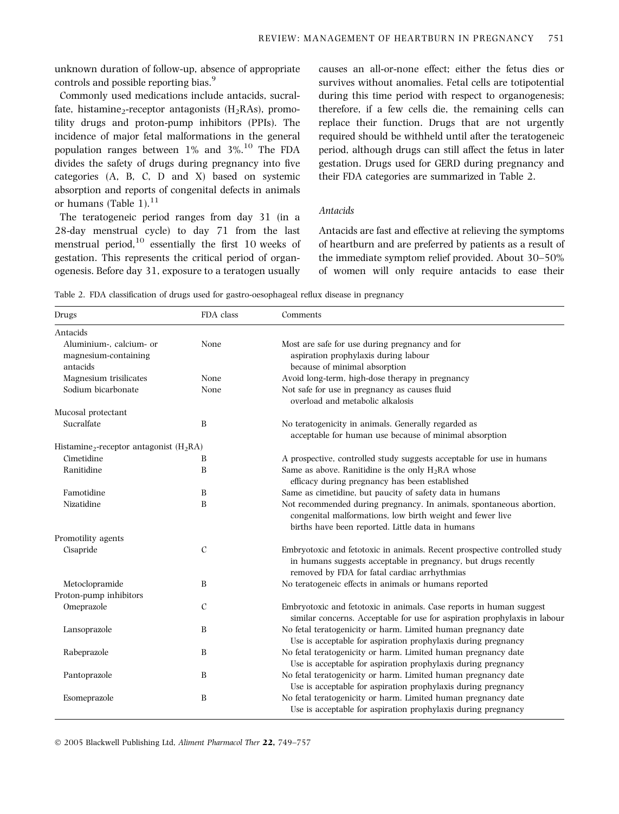unknown duration of follow-up, absence of appropriate controls and possible reporting bias.<sup>9</sup>

Commonly used medications include antacids, sucralfate, histamine<sub>2</sub>-receptor antagonists  $(H_2RAs)$ , promotility drugs and proton-pump inhibitors (PPIs). The incidence of major fetal malformations in the general population ranges between  $1\%$  and  $3\%$ .<sup>10</sup> The FDA divides the safety of drugs during pregnancy into five categories (A, B, C, D and X) based on systemic absorption and reports of congenital defects in animals or humans (Table 1). $^{11}$ 

The teratogeneic period ranges from day 31 (in a 28-day menstrual cycle) to day 71 from the last menstrual period, $10$  essentially the first 10 weeks of gestation. This represents the critical period of organogenesis. Before day 31, exposure to a teratogen usually causes an all-or-none effect; either the fetus dies or survives without anomalies. Fetal cells are totipotential during this time period with respect to organogenesis; therefore, if a few cells die, the remaining cells can replace their function. Drugs that are not urgently required should be withheld until after the teratogeneic period, although drugs can still affect the fetus in later gestation. Drugs used for GERD during pregnancy and their FDA categories are summarized in Table 2.

#### Antacids

Antacids are fast and effective at relieving the symptoms of heartburn and are preferred by patients as a result of the immediate symptom relief provided. About 30–50% of women will only require antacids to ease their

Table 2. FDA classification of drugs used for gastro-oesophageal reflux disease in pregnancy

| Drugs                                                 | FDA class     | Comments                                                                                                                                                                                    |  |  |  |
|-------------------------------------------------------|---------------|---------------------------------------------------------------------------------------------------------------------------------------------------------------------------------------------|--|--|--|
| Antacids                                              |               |                                                                                                                                                                                             |  |  |  |
| Aluminium-, calcium- or                               | None          | Most are safe for use during pregnancy and for                                                                                                                                              |  |  |  |
| magnesium-containing                                  |               | aspiration prophylaxis during labour                                                                                                                                                        |  |  |  |
| antacids                                              |               | because of minimal absorption                                                                                                                                                               |  |  |  |
| Magnesium trisilicates                                | None          | Avoid long-term, high-dose therapy in pregnancy                                                                                                                                             |  |  |  |
| Sodium bicarbonate                                    | None          | Not safe for use in pregnancy as causes fluid<br>overload and metabolic alkalosis                                                                                                           |  |  |  |
| Mucosal protectant                                    |               |                                                                                                                                                                                             |  |  |  |
| Sucralfate                                            | B             | No teratogenicity in animals. Generally regarded as                                                                                                                                         |  |  |  |
|                                                       |               | acceptable for human use because of minimal absorption                                                                                                                                      |  |  |  |
| Histamine <sub>2</sub> -receptor antagonist $(H_2RA)$ |               |                                                                                                                                                                                             |  |  |  |
| Cimetidine                                            | В             | A prospective, controlled study suggests acceptable for use in humans                                                                                                                       |  |  |  |
| Ranitidine                                            | B             | Same as above. Ranitidine is the only $H_2RA$ whose                                                                                                                                         |  |  |  |
|                                                       |               | efficacy during pregnancy has been established                                                                                                                                              |  |  |  |
| Famotidine                                            | B             | Same as cimetidine, but paucity of safety data in humans                                                                                                                                    |  |  |  |
| Nizatidine                                            | B             | Not recommended during pregnancy. In animals, spontaneous abortion,<br>congenital malformations, low birth weight and fewer live<br>births have been reported. Little data in humans        |  |  |  |
| Promotility agents                                    |               |                                                                                                                                                                                             |  |  |  |
| Cisapride                                             | $\cal C$      | Embryotoxic and fetotoxic in animals. Recent prospective controlled study<br>in humans suggests acceptable in pregnancy, but drugs recently<br>removed by FDA for fatal cardiac arrhythmias |  |  |  |
| Metoclopramide                                        | B             | No teratogeneic effects in animals or humans reported                                                                                                                                       |  |  |  |
| Proton-pump inhibitors                                |               |                                                                                                                                                                                             |  |  |  |
| Omeprazole                                            | $\mathcal{C}$ | Embryotoxic and fetotoxic in animals. Case reports in human suggest<br>similar concerns. Acceptable for use for aspiration prophylaxis in labour                                            |  |  |  |
| Lansoprazole                                          | B             | No fetal teratogenicity or harm. Limited human pregnancy date<br>Use is acceptable for aspiration prophylaxis during pregnancy                                                              |  |  |  |
| Rabeprazole                                           | B             | No fetal teratogenicity or harm. Limited human pregnancy date<br>Use is acceptable for aspiration prophylaxis during pregnancy                                                              |  |  |  |
| Pantoprazole                                          | B             | No fetal teratogenicity or harm. Limited human pregnancy date                                                                                                                               |  |  |  |
|                                                       |               | Use is acceptable for aspiration prophylaxis during pregnancy                                                                                                                               |  |  |  |
| Esomeprazole                                          | B             | No fetal teratogenicity or harm. Limited human pregnancy date<br>Use is acceptable for aspiration prophylaxis during pregnancy                                                              |  |  |  |

2005 Blackwell Publishing Ltd, Aliment Pharmacol Ther 22, 749–757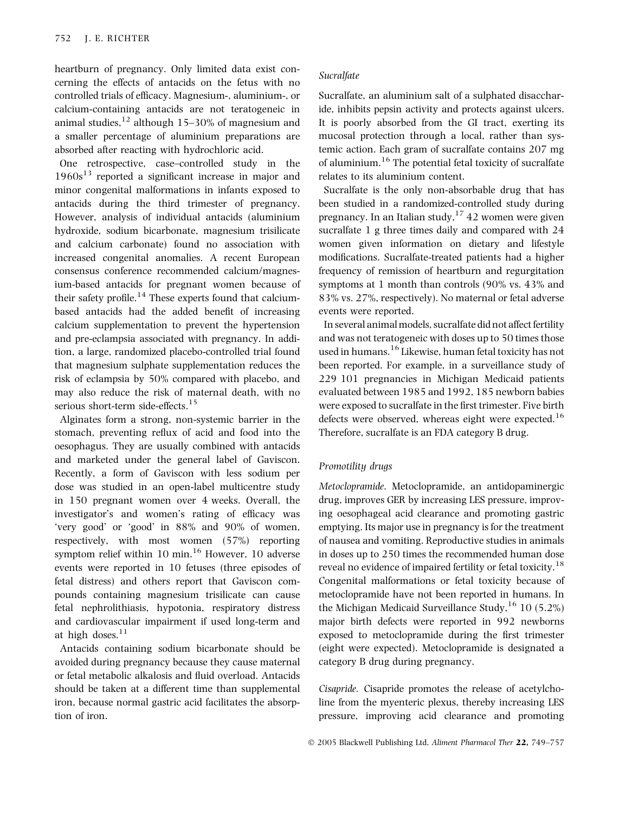heartburn of pregnancy. Only limited data exist concerning the effects of antacids on the fetus with no controlled trials of efficacy. Magnesium-, aluminium-, or calcium-containing antacids are not teratogeneic in animal studies, $12$  although 15–30% of magnesium and a smaller percentage of aluminium preparations are absorbed after reacting with hydrochloric acid.

One retrospective, case–controlled study in the  $1960s<sup>13</sup>$  reported a significant increase in major and minor congenital malformations in infants exposed to antacids during the third trimester of pregnancy. However, analysis of individual antacids (aluminium hydroxide, sodium bicarbonate, magnesium trisilicate and calcium carbonate) found no association with increased congenital anomalies. A recent European consensus conference recommended calcium/magnesium-based antacids for pregnant women because of their safety profile.<sup>14</sup> These experts found that calciumbased antacids had the added benefit of increasing calcium supplementation to prevent the hypertension and pre-eclampsia associated with pregnancy. In addition, a large, randomized placebo-controlled trial found that magnesium sulphate supplementation reduces the risk of eclampsia by 50% compared with placebo, and may also reduce the risk of maternal death, with no serious short-term side-effects.<sup>15</sup>

Alginates form a strong, non-systemic barrier in the stomach, preventing reflux of acid and food into the oesophagus. They are usually combined with antacids and marketed under the general label of Gaviscon. Recently, a form of Gaviscon with less sodium per dose was studied in an open-label multicentre study in 150 pregnant women over 4 weeks. Overall, the investigator's and women's rating of efficacy was 'very good' or 'good' in 88% and 90% of women, respectively, with most women (57%) reporting symptom relief within  $10 \text{ min.}^{16}$  However,  $10$  adverse events were reported in 10 fetuses (three episodes of fetal distress) and others report that Gaviscon compounds containing magnesium trisilicate can cause fetal nephrolithiasis, hypotonia, respiratory distress and cardiovascular impairment if used long-term and at high doses. $11$ 

Antacids containing sodium bicarbonate should be avoided during pregnancy because they cause maternal or fetal metabolic alkalosis and fluid overload. Antacids should be taken at a different time than supplemental iron, because normal gastric acid facilitates the absorption of iron.

#### Sucralfate

Sucralfate, an aluminium salt of a sulphated disaccharide, inhibits pepsin activity and protects against ulcers. It is poorly absorbed from the GI tract, exerting its mucosal protection through a local, rather than systemic action. Each gram of sucralfate contains 207 mg of aluminium.<sup>16</sup> The potential fetal toxicity of sucralfate relates to its aluminium content.

Sucralfate is the only non-absorbable drug that has been studied in a randomized-controlled study during pregnancy. In an Italian study,  $17/42$  women were given sucralfate 1 g three times daily and compared with 24 women given information on dietary and lifestyle modifications. Sucralfate-treated patients had a higher frequency of remission of heartburn and regurgitation symptoms at 1 month than controls (90% vs. 43% and 83% vs. 27%, respectively). No maternal or fetal adverse events were reported.

In several animal models, sucralfate did not affect fertility and was not teratogeneic with doses up to 50 times those used in humans.<sup>16</sup> Likewise, human fetal toxicity has not been reported. For example, in a surveillance study of 229 101 pregnancies in Michigan Medicaid patients evaluated between 1985 and 1992, 185 newborn babies were exposed to sucralfate in the first trimester. Five birth defects were observed, whereas eight were expected.<sup>16</sup> Therefore, sucralfate is an FDA category B drug.

## Promotility drugs

Metoclopramide. Metoclopramide, an antidopaminergic drug, improves GER by increasing LES pressure, improving oesophageal acid clearance and promoting gastric emptying. Its major use in pregnancy is for the treatment of nausea and vomiting. Reproductive studies in animals in doses up to 250 times the recommended human dose reveal no evidence of impaired fertility or fetal toxicity.<sup>18</sup> Congenital malformations or fetal toxicity because of metoclopramide have not been reported in humans. In the Michigan Medicaid Surveillance Study,  $16$  10 (5.2%) major birth defects were reported in 992 newborns exposed to metoclopramide during the first trimester (eight were expected). Metoclopramide is designated a category B drug during pregnancy.

Cisapride. Cisapride promotes the release of acetylcholine from the myenteric plexus, thereby increasing LES pressure, improving acid clearance and promoting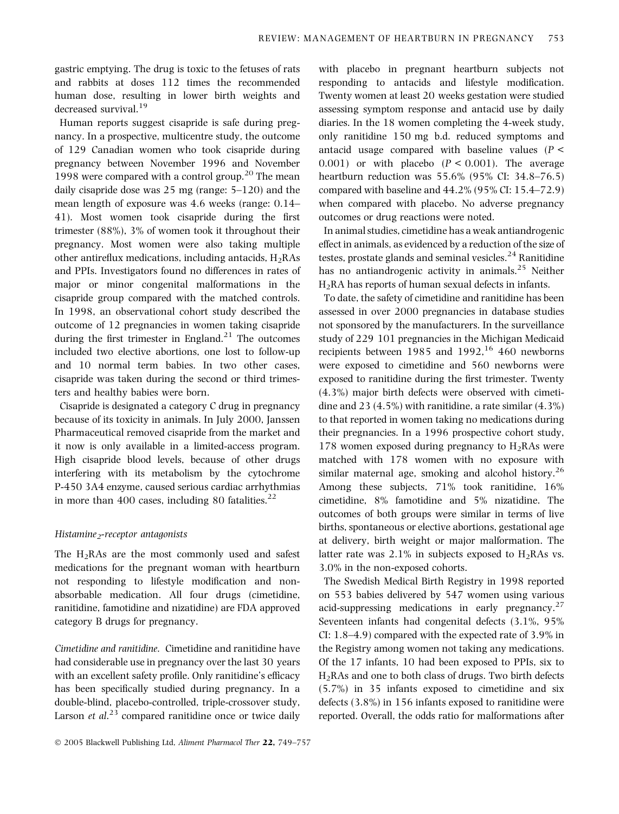gastric emptying. The drug is toxic to the fetuses of rats and rabbits at doses 112 times the recommended human dose, resulting in lower birth weights and decreased survival.<sup>19</sup>

Human reports suggest cisapride is safe during pregnancy. In a prospective, multicentre study, the outcome of 129 Canadian women who took cisapride during pregnancy between November 1996 and November 1998 were compared with a control group.<sup>20</sup> The mean daily cisapride dose was 25 mg (range: 5–120) and the mean length of exposure was 4.6 weeks (range: 0.14– 41). Most women took cisapride during the first trimester (88%), 3% of women took it throughout their pregnancy. Most women were also taking multiple other antireflux medications, including antacids,  $H_2RAs$ and PPIs. Investigators found no differences in rates of major or minor congenital malformations in the cisapride group compared with the matched controls. In 1998, an observational cohort study described the outcome of 12 pregnancies in women taking cisapride during the first trimester in England.<sup>21</sup> The outcomes included two elective abortions, one lost to follow-up and 10 normal term babies. In two other cases, cisapride was taken during the second or third trimesters and healthy babies were born.

Cisapride is designated a category C drug in pregnancy because of its toxicity in animals. In July 2000, Janssen Pharmaceutical removed cisapride from the market and it now is only available in a limited-access program. High cisapride blood levels, because of other drugs interfering with its metabolism by the cytochrome P-450 3A4 enzyme, caused serious cardiac arrhythmias in more than 400 cases, including 80 fatalities. $^{22}$ 

#### Histamine $2$ -receptor antagonists

The  $H_2RAs$  are the most commonly used and safest medications for the pregnant woman with heartburn not responding to lifestyle modification and nonabsorbable medication. All four drugs (cimetidine, ranitidine, famotidine and nizatidine) are FDA approved category B drugs for pregnancy.

Cimetidine and ranitidine. Cimetidine and ranitidine have had considerable use in pregnancy over the last 30 years with an excellent safety profile. Only ranitidine's efficacy has been specifically studied during pregnancy. In a double-blind, placebo-controlled, triple-crossover study, Larson *et al.*<sup>23</sup> compared ranitidine once or twice daily

with placebo in pregnant heartburn subjects not responding to antacids and lifestyle modification. Twenty women at least 20 weeks gestation were studied assessing symptom response and antacid use by daily diaries. In the 18 women completing the 4-week study, only ranitidine 150 mg b.d. reduced symptoms and antacid usage compared with baseline values ( $P$  < 0.001) or with placebo  $(P < 0.001)$ . The average heartburn reduction was 55.6% (95% CI: 34.8–76.5) compared with baseline and 44.2% (95% CI: 15.4–72.9) when compared with placebo. No adverse pregnancy outcomes or drug reactions were noted.

In animal studies, cimetidine has a weak antiandrogenic effect in animals, as evidenced by a reduction of the size of testes, prostate glands and seminal vesicles.<sup>24</sup> Ranitidine has no antiandrogenic activity in animals.<sup>25</sup> Neither H2RA has reports of human sexual defects in infants.

To date, the safety of cimetidine and ranitidine has been assessed in over 2000 pregnancies in database studies not sponsored by the manufacturers. In the surveillance study of 229 101 pregnancies in the Michigan Medicaid recipients between 1985 and 1992, $16$  460 newborns were exposed to cimetidine and 560 newborns were exposed to ranitidine during the first trimester. Twenty (4.3%) major birth defects were observed with cimetidine and 23  $(4.5\%)$  with ranitidine, a rate similar  $(4.3\%)$ to that reported in women taking no medications during their pregnancies. In a 1996 prospective cohort study,  $178$  women exposed during pregnancy to  $H_2RAs$  were matched with 178 women with no exposure with similar maternal age, smoking and alcohol history.<sup>26</sup> Among these subjects, 71% took ranitidine, 16% cimetidine, 8% famotidine and 5% nizatidine. The outcomes of both groups were similar in terms of live births, spontaneous or elective abortions, gestational age at delivery, birth weight or major malformation. The latter rate was 2.1% in subjects exposed to  $H_2RAs$  vs. 3.0% in the non-exposed cohorts.

The Swedish Medical Birth Registry in 1998 reported on 553 babies delivered by 547 women using various acid-suppressing medications in early pregnancy. $27$ Seventeen infants had congenital defects (3.1%, 95% CI: 1.8–4.9) compared with the expected rate of 3.9% in the Registry among women not taking any medications. Of the 17 infants, 10 had been exposed to PPIs, six to H2RAs and one to both class of drugs. Two birth defects (5.7%) in 35 infants exposed to cimetidine and six defects (3.8%) in 156 infants exposed to ranitidine were reported. Overall, the odds ratio for malformations after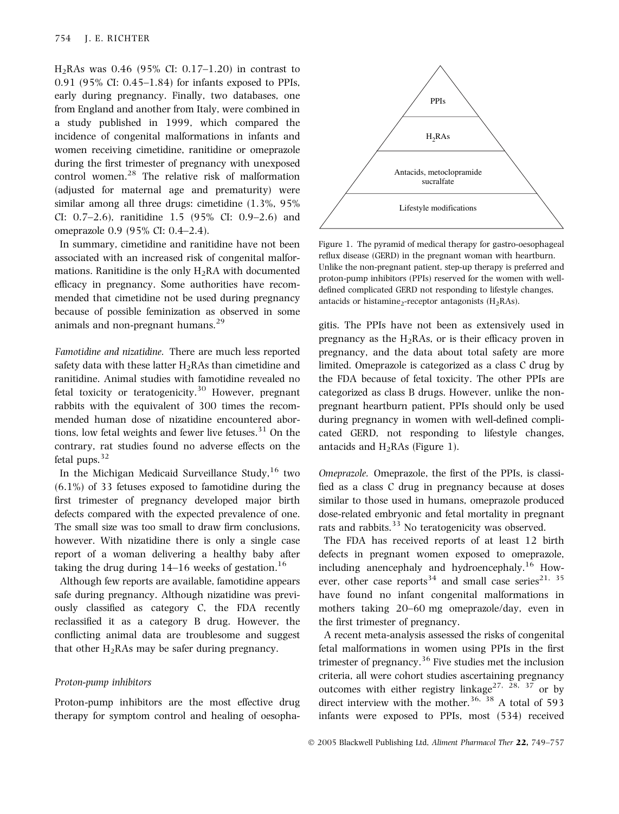H2RAs was 0.46 (95% CI: 0.17–1.20) in contrast to 0.91 (95% CI: 0.45–1.84) for infants exposed to PPIs, early during pregnancy. Finally, two databases, one from England and another from Italy, were combined in a study published in 1999, which compared the incidence of congenital malformations in infants and women receiving cimetidine, ranitidine or omeprazole during the first trimester of pregnancy with unexposed control women.<sup>28</sup> The relative risk of malformation (adjusted for maternal age and prematurity) were similar among all three drugs: cimetidine (1.3%, 95% CI: 0.7–2.6), ranitidine 1.5 (95% CI: 0.9–2.6) and omeprazole 0.9 (95% CI: 0.4–2.4).

In summary, cimetidine and ranitidine have not been associated with an increased risk of congenital malformations. Ranitidine is the only  $H_2RA$  with documented efficacy in pregnancy. Some authorities have recommended that cimetidine not be used during pregnancy because of possible feminization as observed in some animals and non-pregnant humans.<sup>29</sup>

Famotidine and nizatidine. There are much less reported safety data with these latter  $H_2RAs$  than cimetidine and ranitidine. Animal studies with famotidine revealed no fetal toxicity or teratogenicity.<sup>30</sup> However, pregnant rabbits with the equivalent of 300 times the recommended human dose of nizatidine encountered abortions, low fetal weights and fewer live fetuses.  $31$  On the contrary, rat studies found no adverse effects on the fetal pups. $32$ 

In the Michigan Medicaid Surveillance Study,  $16$  two (6.1%) of 33 fetuses exposed to famotidine during the first trimester of pregnancy developed major birth defects compared with the expected prevalence of one. The small size was too small to draw firm conclusions, however. With nizatidine there is only a single case report of a woman delivering a healthy baby after taking the drug during  $14-16$  weeks of gestation.<sup>16</sup>

Although few reports are available, famotidine appears safe during pregnancy. Although nizatidine was previously classified as category C, the FDA recently reclassified it as a category B drug. However, the conflicting animal data are troublesome and suggest that other  $H_2RAs$  may be safer during pregnancy.

#### Proton-pump inhibitors

Proton-pump inhibitors are the most effective drug therapy for symptom control and healing of oesopha-



Figure 1. The pyramid of medical therapy for gastro-oesophageal reflux disease (GERD) in the pregnant woman with heartburn. Unlike the non-pregnant patient, step-up therapy is preferred and proton-pump inhibitors (PPIs) reserved for the women with welldefined complicated GERD not responding to lifestyle changes, antacids or histamine<sub>2</sub>-receptor antagonists  $(H_2RAs)$ .

gitis. The PPIs have not been as extensively used in pregnancy as the  $H_2RAs$ , or is their efficacy proven in pregnancy, and the data about total safety are more limited. Omeprazole is categorized as a class C drug by the FDA because of fetal toxicity. The other PPIs are categorized as class B drugs. However, unlike the nonpregnant heartburn patient, PPIs should only be used during pregnancy in women with well-defined complicated GERD, not responding to lifestyle changes, antacids and  $H_2RAs$  (Figure 1).

Omeprazole. Omeprazole, the first of the PPIs, is classified as a class C drug in pregnancy because at doses similar to those used in humans, omeprazole produced dose-related embryonic and fetal mortality in pregnant rats and rabbits.<sup>33</sup> No teratogenicity was observed.

The FDA has received reports of at least 12 birth defects in pregnant women exposed to omeprazole, including anencephaly and hydroencephaly.16 However, other case reports<sup>34</sup> and small case series<sup>21, 35</sup> have found no infant congenital malformations in mothers taking 20–60 mg omeprazole/day, even in the first trimester of pregnancy.

A recent meta-analysis assessed the risks of congenital fetal malformations in women using PPIs in the first trimester of pregnancy.<sup>36</sup> Five studies met the inclusion criteria, all were cohort studies ascertaining pregnancy outcomes with either registry linkage<sup>27, 28, 37</sup> or by direct interview with the mother.<sup>36, 38</sup> A total of 593 infants were exposed to PPIs, most (534) received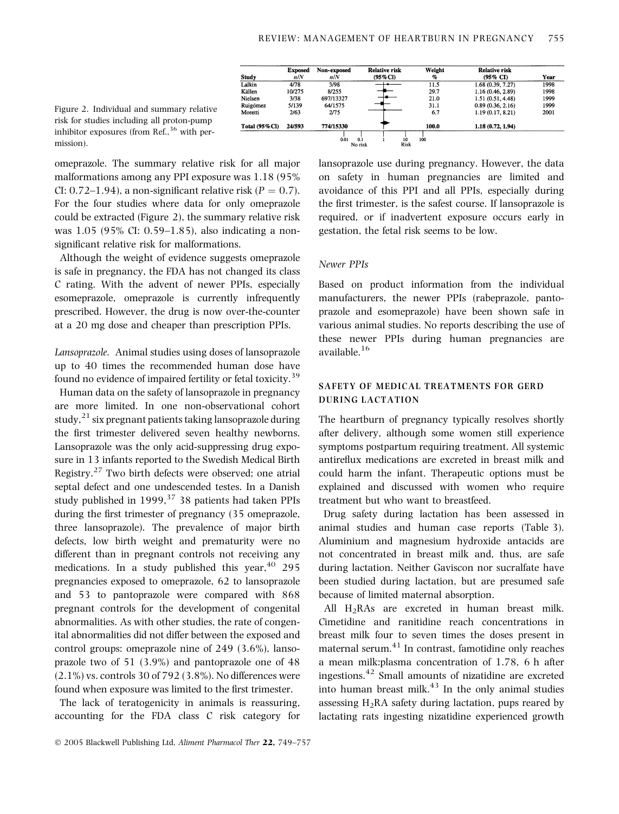|                       | <b>Exposed</b> | Non-exposed | <b>Relative risk</b>         | Weight | <b>Relative risk</b> |      |
|-----------------------|----------------|-------------|------------------------------|--------|----------------------|------|
| <b>Study</b>          | n/N            | n/N         | $(95\%$ CI)                  | %      | (95% CD)             | Year |
| Lalkin                | 4/78           | 3/98        |                              | 11.5   | 1.68 (0.39, 7.27)    | 1998 |
| Källen                | 10/275         | 8/255       |                              | 29.7   | 1.16 (0.46, 2.89)    | 1998 |
| Nielsen               | 3/38           | 697/13327   |                              | 21.0   | 1.51 (0.51, 4.48)    | 1999 |
| Ruigómez              | 5/139          | 64/1575     |                              | 31.1   | 0.89(0.36, 2.16)     | 1999 |
| Moretti               | 2/63           | 2/75        |                              | 6.7    | 1.19(0.17, 8.21)     | 2001 |
| <b>Total (95% CI)</b> | 24/593         | 774/15330   |                              | 100.0  | 1.18(0.72, 1.94)     |      |
|                       |                |             |                              |        |                      |      |
|                       |                | 0.01        | 0.1<br>10<br>Risk<br>No risk | 100    |                      |      |

Figure 2. Individual and summary relative risk for studies including all proton-pump inhibitor exposures (from Ref.,  $36$  with permission).

omeprazole. The summary relative risk for all major malformations among any PPI exposure was 1.18 (95% CI: 0.72–1.94), a non-significant relative risk ( $P = 0.7$ ). For the four studies where data for only omeprazole could be extracted (Figure 2), the summary relative risk was 1.05 (95% CI: 0.59–1.85), also indicating a nonsignificant relative risk for malformations.

Although the weight of evidence suggests omeprazole is safe in pregnancy, the FDA has not changed its class C rating. With the advent of newer PPIs, especially esomeprazole, omeprazole is currently infrequently prescribed. However, the drug is now over-the-counter at a 20 mg dose and cheaper than prescription PPIs.

Lansoprazole. Animal studies using doses of lansoprazole up to 40 times the recommended human dose have found no evidence of impaired fertility or fetal toxicity.<sup>39</sup>

Human data on the safety of lansoprazole in pregnancy are more limited. In one non-observational cohort study,  $^{21}$  six pregnant patients taking lansoprazole during the first trimester delivered seven healthy newborns. Lansoprazole was the only acid-suppressing drug exposure in 13 infants reported to the Swedish Medical Birth Registry.<sup>27</sup> Two birth defects were observed; one atrial septal defect and one undescended testes. In a Danish study published in 1999, $37$  38 patients had taken PPIs during the first trimester of pregnancy (35 omeprazole, three lansoprazole). The prevalence of major birth defects, low birth weight and prematurity were no different than in pregnant controls not receiving any medications. In a study published this year,  $40$  295 pregnancies exposed to omeprazole, 62 to lansoprazole and 53 to pantoprazole were compared with 868 pregnant controls for the development of congenital abnormalities. As with other studies, the rate of congenital abnormalities did not differ between the exposed and control groups: omeprazole nine of 249 (3.6%), lansoprazole two of 51 (3.9%) and pantoprazole one of 48  $(2.1\%)$  vs. controls 30 of 792  $(3.8\%)$ . No differences were found when exposure was limited to the first trimester.

The lack of teratogenicity in animals is reassuring, accounting for the FDA class C risk category for lansoprazole use during pregnancy. However, the data on safety in human pregnancies are limited and avoidance of this PPI and all PPIs, especially during the first trimester, is the safest course. If lansoprazole is required, or if inadvertent exposure occurs early in gestation, the fetal risk seems to be low.

## Newer PPIs

Based on product information from the individual manufacturers, the newer PPIs (rabeprazole, pantoprazole and esomeprazole) have been shown safe in various animal studies. No reports describing the use of these newer PPIs during human pregnancies are available.<sup>16</sup>

# SAFETY OF MEDICAL TREATMENTS FOR GERD DURING LACTATION

The heartburn of pregnancy typically resolves shortly after delivery, although some women still experience symptoms postpartum requiring treatment. All systemic antireflux medications are excreted in breast milk and could harm the infant. Therapeutic options must be explained and discussed with women who require treatment but who want to breastfeed.

Drug safety during lactation has been assessed in animal studies and human case reports (Table 3). Aluminium and magnesium hydroxide antacids are not concentrated in breast milk and, thus, are safe during lactation. Neither Gaviscon nor sucralfate have been studied during lactation, but are presumed safe because of limited maternal absorption.

All  $H_2RAs$  are excreted in human breast milk. Cimetidine and ranitidine reach concentrations in breast milk four to seven times the doses present in maternal serum.41 In contrast, famotidine only reaches a mean milk:plasma concentration of 1.78, 6 h after ingestions.<sup>42</sup> Small amounts of nizatidine are excreted into human breast milk. $43$  In the only animal studies assessing  $H_2RA$  safety during lactation, pups reared by lactating rats ingesting nizatidine experienced growth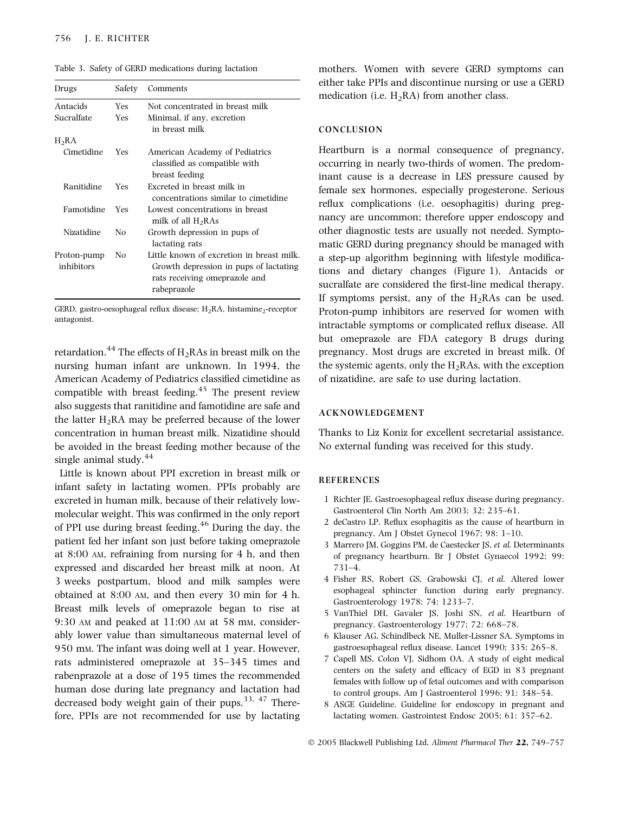Table 3. Safety of GERD medications during lactation

| Drugs                     | Safety | Comments                                                                                                                            |  |  |
|---------------------------|--------|-------------------------------------------------------------------------------------------------------------------------------------|--|--|
| Antacids                  | Yes    | Not concentrated in breast milk                                                                                                     |  |  |
| Sucralfate                | Yes    | Minimal, if any, excretion<br>in breast milk                                                                                        |  |  |
| $H_2RA$                   |        |                                                                                                                                     |  |  |
| Cimetidine                | Yes    | American Academy of Pediatrics                                                                                                      |  |  |
|                           |        | classified as compatible with                                                                                                       |  |  |
|                           |        | breast feeding                                                                                                                      |  |  |
| Ranitidine                | Yes    | Excreted in breast milk in<br>concentrations similar to cimetidine                                                                  |  |  |
|                           | Yes    |                                                                                                                                     |  |  |
| Famotidine                |        | Lowest concentrations in breast<br>milk of all $H_2RAs$                                                                             |  |  |
| Nizatidine                | No     | Growth depression in pups of                                                                                                        |  |  |
|                           |        | lactating rats                                                                                                                      |  |  |
| Proton-pump<br>inhibitors | No     | Little known of excretion in breast milk.<br>Growth depression in pups of lactating<br>rats receiving omeprazole and<br>rabeprazole |  |  |

GERD, gastro-oesophageal reflux disease;  $H_2RA$ , histamine<sub>2</sub>-receptor antagonist.

retardation.<sup>44</sup> The effects of  $H_2RAs$  in breast milk on the nursing human infant are unknown. In 1994, the American Academy of Pediatrics classified cimetidine as compatible with breast feeding. $45$  The present review also suggests that ranitidine and famotidine are safe and the latter  $H_2RA$  may be preferred because of the lower concentration in human breast milk. Nizatidine should be avoided in the breast feeding mother because of the single animal study. $44$ 

Little is known about PPI excretion in breast milk or infant safety in lactating women. PPIs probably are excreted in human milk, because of their relatively lowmolecular weight. This was confirmed in the only report of PPI use during breast feeding. $46$  During the day, the patient fed her infant son just before taking omeprazole at 8:00 am, refraining from nursing for 4 h, and then expressed and discarded her breast milk at noon. At 3 weeks postpartum, blood and milk samples were obtained at 8:00 am, and then every 30 min for 4 h. Breast milk levels of omeprazole began to rise at 9:30 am and peaked at 11:00 am at 58 mm, considerably lower value than simultaneous maternal level of 950 mm. The infant was doing well at 1 year. However, rats administered omeprazole at 35–345 times and rabenprazole at a dose of 195 times the recommended human dose during late pregnancy and lactation had decreased body weight gain of their pups.<sup>33, 47</sup> Therefore, PPIs are not recommended for use by lactating mothers. Women with severe GERD symptoms can either take PPIs and discontinue nursing or use a GERD medication (i.e.  $H_2RA$ ) from another class.

#### **CONCLUSION**

Heartburn is a normal consequence of pregnancy, occurring in nearly two-thirds of women. The predominant cause is a decrease in LES pressure caused by female sex hormones, especially progesterone. Serious reflux complications (i.e. oesophagitis) during pregnancy are uncommon; therefore upper endoscopy and other diagnostic tests are usually not needed. Symptomatic GERD during pregnancy should be managed with a step-up algorithm beginning with lifestyle modifications and dietary changes (Figure 1). Antacids or sucralfate are considered the first-line medical therapy. If symptoms persist, any of the  $H_2RAs$  can be used. Proton-pump inhibitors are reserved for women with intractable symptoms or complicated reflux disease. All but omeprazole are FDA category B drugs during pregnancy. Most drugs are excreted in breast milk. Of the systemic agents, only the  $H_2RAs$ , with the exception of nizatidine, are safe to use during lactation.

#### ACKNOWLEDGEMENT

Thanks to Liz Koniz for excellent secretarial assistance. No external funding was received for this study.

#### **REFERENCES**

- 1 Richter JE. Gastroesophageal reflux disease during pregnancy. Gastroenterol Clin North Am 2003; 32: 235–61.
- 2 deCastro LP. Reflux esophagitis as the cause of heartburn in pregnancy. Am J Obstet Gynecol 1967; 98: 1–10.
- 3 Marrero JM, Goggins PM, de Caestecker JS, et al. Determinants of pregnancy heartburn. Br J Obstet Gynaecol 1992; 99: 731–4.
- 4 Fisher RS, Robert GS, Grabowski CJ, et al. Altered lower esophageal sphincter function during early pregnancy. Gastroenterology 1978; 74: 1233–7.
- 5 VanThiel DH, Gavaler JS, Joshi SN, et al. Heartburn of pregnancy. Gastroenterology 1977; 72: 668–78.
- 6 Klauser AG, Schindlbeck NE, Muller-Lissner SA. Symptoms in gastroesophageal reflux disease. Lancet 1990; 335: 265–8.
- 7 Capell MS, Colon VJ, Sidhom OA. A study of eight medical centers on the safety and efficacy of EGD in 83 pregnant females with follow up of fetal outcomes and with comparison to control groups. Am J Gastroenterol 1996; 91: 348–54.
- 8 ASGE Guideline. Guideline for endoscopy in pregnant and lactating women. Gastrointest Endosc 2005; 61: 357–62.